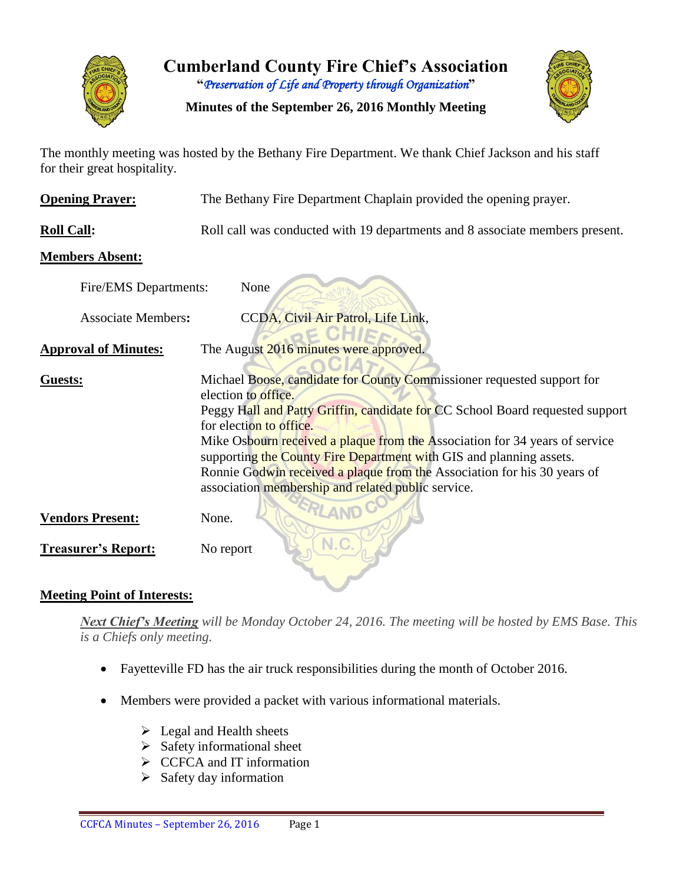

**Cumberland County Fire Chief's Association "***Preservation of Life and Property through Organization***"**

**Minutes of the September 26, 2016 Monthly Meeting**



The monthly meeting was hosted by the Bethany Fire Department. We thank Chief Jackson and his staff for their great hospitality.

| <b>Opening Prayer:</b>      | The Bethany Fire Department Chaplain provided the opening prayer.                                                                                                                                                                                                                                                                                                                                                                                                                                 |  |  |  |  |  |  |  |  |
|-----------------------------|---------------------------------------------------------------------------------------------------------------------------------------------------------------------------------------------------------------------------------------------------------------------------------------------------------------------------------------------------------------------------------------------------------------------------------------------------------------------------------------------------|--|--|--|--|--|--|--|--|
| <b>Roll Call:</b>           | Roll call was conducted with 19 departments and 8 associate members present.                                                                                                                                                                                                                                                                                                                                                                                                                      |  |  |  |  |  |  |  |  |
| <b>Members Absent:</b>      |                                                                                                                                                                                                                                                                                                                                                                                                                                                                                                   |  |  |  |  |  |  |  |  |
| Fire/EMS Departments:       | None                                                                                                                                                                                                                                                                                                                                                                                                                                                                                              |  |  |  |  |  |  |  |  |
| <b>Associate Members:</b>   | CCDA, Civil Air Patrol, Life Link,                                                                                                                                                                                                                                                                                                                                                                                                                                                                |  |  |  |  |  |  |  |  |
| <b>Approval of Minutes:</b> | The August 2016 minutes were approved.                                                                                                                                                                                                                                                                                                                                                                                                                                                            |  |  |  |  |  |  |  |  |
| Guests:                     | Michael Boose, candidate for County Commissioner requested support for<br>election to office.<br>Peggy Hall and Patty Griffin, candidate for CC School Board requested support<br>for election to office.<br>Mike Osbourn received a plaque from the Association for 34 years of service<br>supporting the County Fire Department with GIS and planning assets.<br>Ronnie Godwin received a plaque from the Association for his 30 years of<br>association membership and related public service. |  |  |  |  |  |  |  |  |
| <b>Vendors Present:</b>     | None.                                                                                                                                                                                                                                                                                                                                                                                                                                                                                             |  |  |  |  |  |  |  |  |
| <b>Treasurer's Report:</b>  | N.C.<br>No report                                                                                                                                                                                                                                                                                                                                                                                                                                                                                 |  |  |  |  |  |  |  |  |

## **Meeting Point of Interests:**

*Next Chief's Meeting will be Monday October 24, 2016. The meeting will be hosted by EMS Base. This is a Chiefs only meeting.*

- Fayetteville FD has the air truck responsibilities during the month of October 2016.
- Members were provided a packet with various informational materials.
	- $\triangleright$  Legal and Health sheets
	- $\triangleright$  Safety informational sheet
	- $\triangleright$  CCFCA and IT information
	- $\triangleright$  Safety day information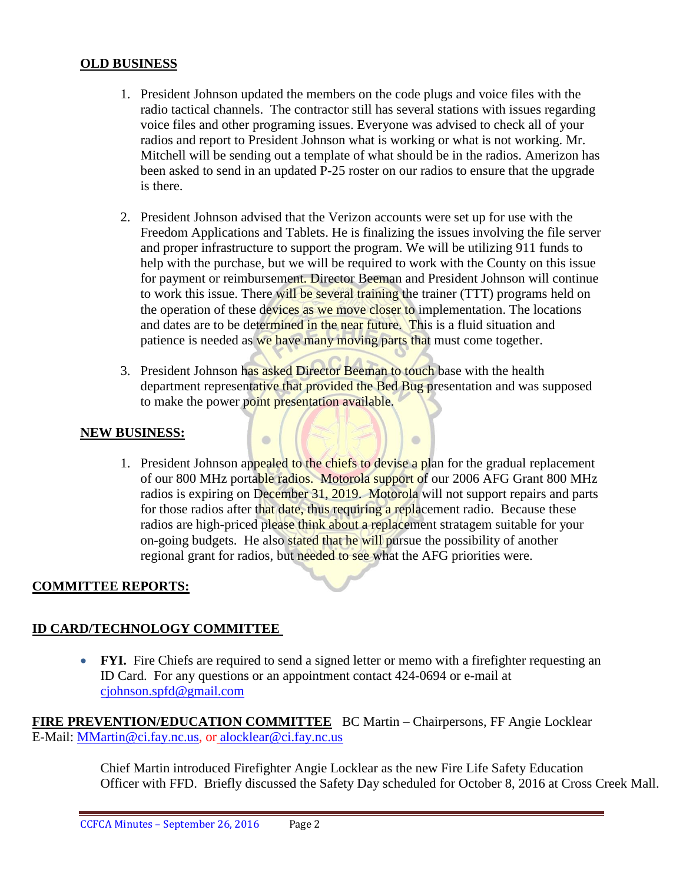#### **OLD BUSINESS**

- 1. President Johnson updated the members on the code plugs and voice files with the radio tactical channels. The contractor still has several stations with issues regarding voice files and other programing issues. Everyone was advised to check all of your radios and report to President Johnson what is working or what is not working. Mr. Mitchell will be sending out a template of what should be in the radios. Amerizon has been asked to send in an updated P-25 roster on our radios to ensure that the upgrade is there.
- 2. President Johnson advised that the Verizon accounts were set up for use with the Freedom Applications and Tablets. He is finalizing the issues involving the file server and proper infrastructure to support the program. We will be utilizing 911 funds to help with the purchase, but we will be required to work with the County on this issue for payment or reimbursement. Director Beeman and President Johnson will continue to work this issue. There will be several training the trainer (TTT) programs held on the operation of these devices as we move closer to implementation. The locations and dates are to be determined in the near future. This is a fluid situation and patience is needed as we have many moving parts that must come together.
- 3. President Johnson has asked Director Beeman to touch base with the health department representative that provided the Bed Bug presentation and was supposed to make the power point presentation available.

 $\blacksquare$ 

 $\Box$ 

#### **NEW BUSINESS:**

1. President Johnson appealed to the chiefs to devise a plan for the gradual replacement of our 800 MHz portable radios. Motorola support of our 2006 AFG Grant 800 MHz radios is expiring on December 31, 2019. Motorola will not support repairs and parts for those radios after that date, thus requiring a replacement radio. Because these radios are high-priced please think about a replacement stratagem suitable for your on-going budgets. He also stated that he will pursue the possibility of another regional grant for radios, but needed to see what the AFG priorities were.

#### **COMMITTEE REPORTS:**

#### **ID CARD/TECHNOLOGY COMMITTEE**

• **FYI.** Fire Chiefs are required to send a signed letter or memo with a firefighter requesting an ID Card. For any questions or an appointment contact 424-0694 or e-mail at [cjohnson.spfd@gmail.com](mailto:cjohnson.spfd@gmail.com)

**FIRE PREVENTION/EDUCATION COMMITTEE** BC Martin – Chairpersons, FF Angie Locklear E-Mail: [MMartin@ci.fay.nc.us,](mailto:MMartin@ci.fay.nc.us) or [alocklear@ci.fay.nc.us](mailto:alocklear@ci.fay.nc.us)

> Chief Martin introduced Firefighter Angie Locklear as the new Fire Life Safety Education Officer with FFD. Briefly discussed the Safety Day scheduled for October 8, 2016 at Cross Creek Mall.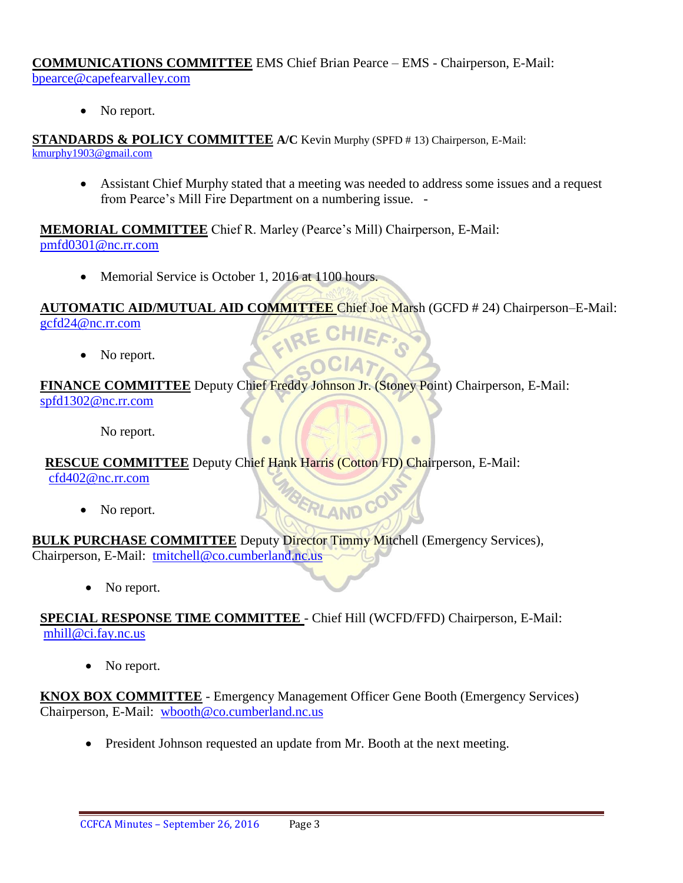#### **COMMUNICATIONS COMMITTEE** EMS Chief Brian Pearce – EMS - Chairperson, E-Mail: bpearce@capefearvalley.com

• No report.

**STANDARDS & POLICY COMMITTEE A/C** Kevin Murphy (SPFD # 13) Chairperson, E-Mail: [kmurphy1903@gmail.com](mailto:kmurphy1903@gmail.com)

 Assistant Chief Murphy stated that a meeting was needed to address some issues and a request from Pearce's Mill Fire Department on a numbering issue. -

**MEMORIAL COMMITTEE** Chief R. Marley (Pearce's Mill) Chairperson, E-Mail: [pmfd0301@nc.rr.com](mailto:pmfd0301@nc.rr.com)

• Memorial Service is October 1, 2016 at 1100 hours.

**AUTOMATIC AID/MUTUAL AID COMMITTEE** Chief Joe Marsh (GCFD # 24) Chairperson–E-Mail: [gcfd24@nc.rr.com](mailto:gcfd24@nc.rr.com)  FIRE (

GOCIA7

BERLAND CO

 $\Box$ 

• No report.

## **FINANCE COMMITTEE** Deputy Chief Freddy Johnson Jr. (Stoney Point) Chairperson, E-Mail: [spfd1302@nc.rr.com](mailto:spfd1302@nc.rr.com)

No report.

## **RESCUE COMMITTEE** Deputy Chief Hank Harris (Cotton FD) Chairperson, E-Mail:

[cfd402@nc.rr.com](mailto:cfd402@nc.rr.com)

• No report.

#### **BULK PURCHASE COMMITTEE** Deputy Director Timmy Mitchell (Emergency Services), Chairperson, E-Mail: [tmitchell@co.cumberland.nc.us](mailto:tmitchell@co.cumberland.nc.us)

• No report.

## **SPECIAL RESPONSE TIME COMMITTEE** - Chief Hill (WCFD/FFD) Chairperson, E-Mail: [mhill@ci.fay.nc.us](mailto:mhill@ci.fay.nc.us)

• No report.

## **KNOX BOX COMMITTEE** - Emergency Management Officer Gene Booth (Emergency Services) Chairperson, E-Mail: [wbooth@co.cumberland.nc.us](mailto:wbooth@co.cumberland.nc.us)

• President Johnson requested an update from Mr. Booth at the next meeting.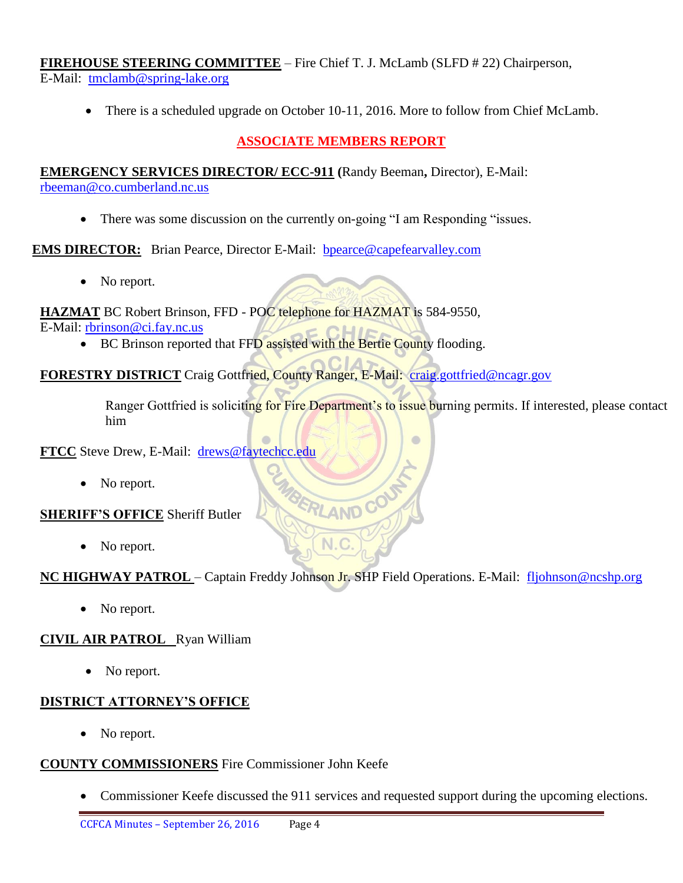**FIREHOUSE STEERING COMMITTEE** – Fire Chief T. J. McLamb (SLFD # 22) Chairperson, E-Mail: [tmclamb@spring-lake.org](mailto:tmclamb@spring-lake.org)

• There is a scheduled upgrade on October 10-11, 2016. More to follow from Chief McLamb.

## **ASSOCIATE MEMBERS REPORT**

**EMERGENCY SERVICES DIRECTOR/ ECC-911 (**Randy Beeman**,** Director), E-Mail: [rbeeman@co.cumberland.nc.us](mailto:rbeeman@co.cumberland.nc.us)

• There was some discussion on the currently on-going "I am Responding "issues.

**EMS DIRECTOR:** Brian Pearce, Director E-Mail: **bpearce@capefearvalley.com** 

• No report.

**HAZMAT** BC Robert Brinson, FFD - POC telephone for HAZMAT is 584-9550, E-Mail: [rbrinson@ci.fay.nc.us](mailto:rbrinson@ci.fay.nc.us)

• BC Brinson reported that FFD assisted with the Bertie County flooding.

**FORESTRY DISTRICT** Craig Gottfried, County Ranger, E-Mail: [craig.gottfried@ncagr.gov](mailto:craig.gottfried@ncagr.gov)

Ranger Gottfried is soliciting for Fire Department's to issue burning permits. If interested, please contact him

**FTCC** Steve Drew, E-Mail: [drews@faytechcc.edu](mailto:drews@faytechcc.edu)

• No report.

#### **SHERIFF'S OFFICE** Sheriff Butler

No report.

## **NC HIGHWAY PATROL** – Captain Freddy Johnson Jr. SHP Field Operations. E-Mail: [fljohnson@ncshp.org](mailto:fljohnson@ncshp.org)

 $N.C$ 

BERLAND CO

No report.

## **CIVIL AIR PATROL** Ryan William

• No report.

## **DISTRICT ATTORNEY'S OFFICE**

No report.

#### **COUNTY COMMISSIONERS** Fire Commissioner John Keefe

• Commissioner Keefe discussed the 911 services and requested support during the upcoming elections.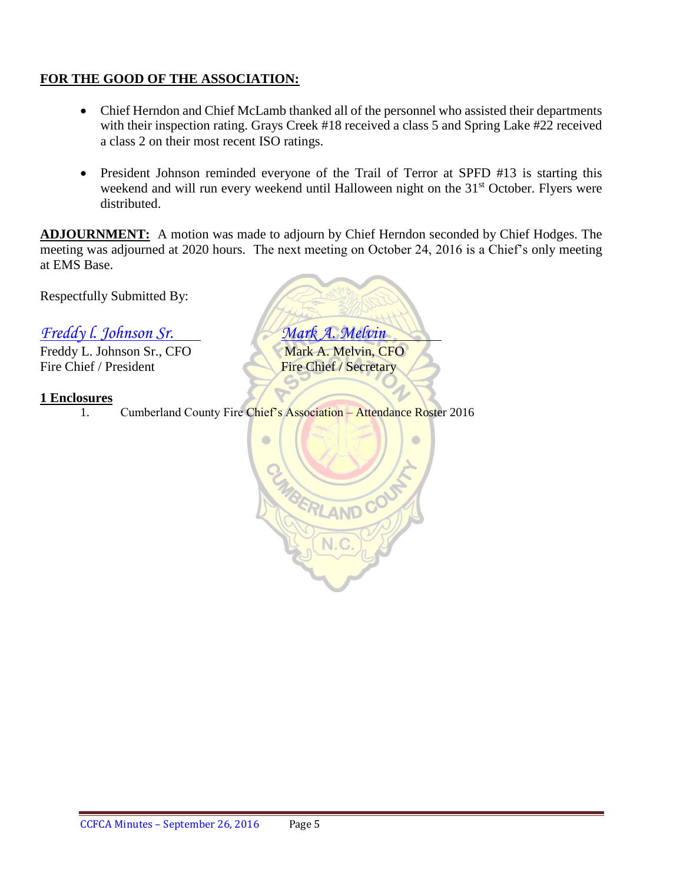## **FOR THE GOOD OF THE ASSOCIATION:**

- Chief Herndon and Chief McLamb thanked all of the personnel who assisted their departments with their inspection rating. Grays Creek #18 received a class 5 and Spring Lake #22 received a class 2 on their most recent ISO ratings.
- President Johnson reminded everyone of the Trail of Terror at SPFD #13 is starting this weekend and will run every weekend until Halloween night on the 31<sup>st</sup> October. Flyers were distributed.

**ADJOURNMENT:** A motion was made to adjourn by Chief Herndon seconded by Chief Hodges. The meeting was adjourned at 2020 hours. The next meeting on October 24, 2016 is a Chief's only meeting at EMS Base.

Respectfully Submitted By:

*Freddy l. Johnson Sr. Mark A. Melvin*

Freddy L. Johnson Sr., CFO Mark A. Melvin, CFO Fire Chief / President Fire Chief / Secretary

#### **1 Enclosures**

1. Cumberland County Fire Chief's Association – Attendance Roster 2016

 $\bullet$ 

ERLANDO